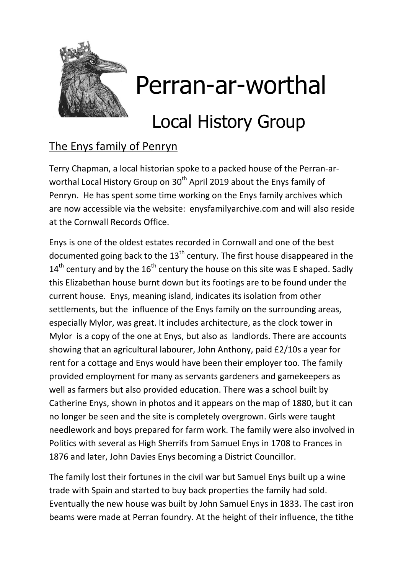

## Perran-ar-worthal

## Local History Group

## The Enys family of Penryn

Terry Chapman, a local historian spoke to a packed house of the Perran-arworthal Local History Group on 30<sup>th</sup> April 2019 about the Enys family of Penryn. He has spent some time working on the Enys family archives which are now accessible via the website: enysfamilyarchive.com and will also reside at the Cornwall Records Office.

Enys is one of the oldest estates recorded in Cornwall and one of the best documented going back to the  $13<sup>th</sup>$  century. The first house disappeared in the  $14<sup>th</sup>$  century and by the  $16<sup>th</sup>$  century the house on this site was E shaped. Sadly this Elizabethan house burnt down but its footings are to be found under the current house. Enys, meaning island, indicates its isolation from other settlements, but the influence of the Enys family on the surrounding areas, especially Mylor, was great. It includes architecture, as the clock tower in Mylor is a copy of the one at Enys, but also as landlords. There are accounts showing that an agricultural labourer, John Anthony, paid £2/10s a year for rent for a cottage and Enys would have been their employer too. The family provided employment for many as servants gardeners and gamekeepers as well as farmers but also provided education. There was a school built by Catherine Enys, shown in photos and it appears on the map of 1880, but it can no longer be seen and the site is completely overgrown. Girls were taught needlework and boys prepared for farm work. The family were also involved in Politics with several as High Sherrifs from Samuel Enys in 1708 to Frances in 1876 and later, John Davies Enys becoming a District Councillor.

The family lost their fortunes in the civil war but Samuel Enys built up a wine trade with Spain and started to buy back properties the family had sold. Eventually the new house was built by John Samuel Enys in 1833. The cast iron beams were made at Perran foundry. At the height of their influence, the tithe